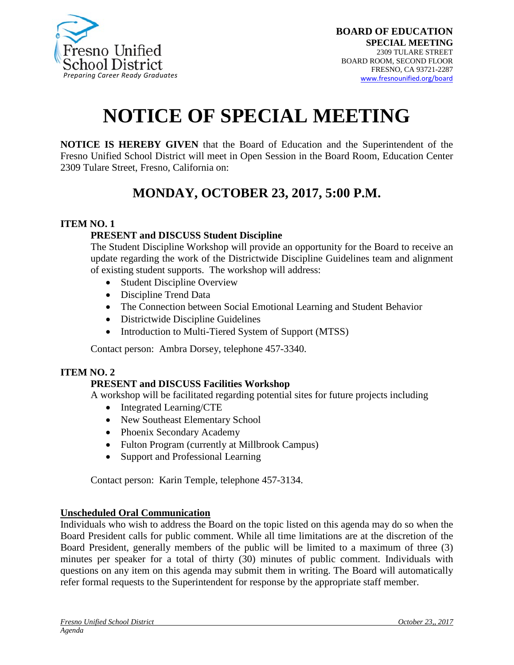

# **NOTICE OF SPECIAL MEETING**

**NOTICE IS HEREBY GIVEN** that the Board of Education and the Superintendent of the Fresno Unified School District will meet in Open Session in the Board Room, Education Center 2309 Tulare Street, Fresno, California on:

# **MONDAY, OCTOBER 23, 2017, 5:00 P.M.**

#### **ITEM NO. 1**

## **PRESENT and DISCUSS Student Discipline**

The Student Discipline Workshop will provide an opportunity for the Board to receive an update regarding the work of the Districtwide Discipline Guidelines team and alignment of existing student supports. The workshop will address:

- Student Discipline Overview
- Discipline Trend Data
- The Connection between Social Emotional Learning and Student Behavior
- Districtwide Discipline Guidelines
- Introduction to Multi-Tiered System of Support (MTSS)

Contact person: Ambra Dorsey, telephone 457-3340.

#### **ITEM NO. 2**

## **PRESENT and DISCUSS Facilities Workshop**

A workshop will be facilitated regarding potential sites for future projects including

- Integrated Learning/CTE
- New Southeast Elementary School
- Phoenix Secondary Academy
- Fulton Program (currently at Millbrook Campus)
- Support and Professional Learning

Contact person: Karin Temple, telephone 457-3134.

#### **Unscheduled Oral Communication**

Individuals who wish to address the Board on the topic listed on this agenda may do so when the Board President calls for public comment. While all time limitations are at the discretion of the Board President, generally members of the public will be limited to a maximum of three (3) minutes per speaker for a total of thirty (30) minutes of public comment. Individuals with questions on any item on this agenda may submit them in writing. The Board will automatically refer formal requests to the Superintendent for response by the appropriate staff member.